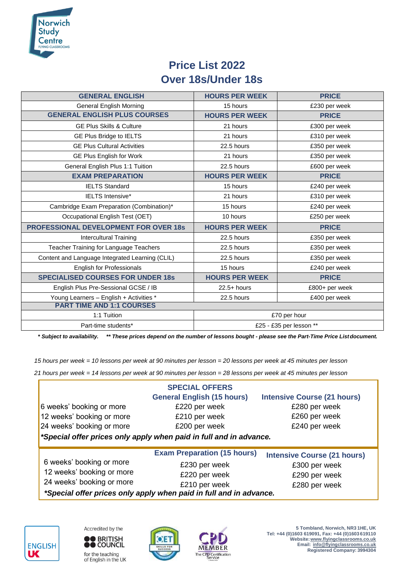

## **Price List 2022 Over 18s/Under 18s**

| <b>GENERAL ENGLISH</b>                          | <b>HOURS PER WEEK</b>   | <b>PRICE</b>   |  |  |
|-------------------------------------------------|-------------------------|----------------|--|--|
| <b>General English Morning</b>                  | 15 hours                | £230 per week  |  |  |
| <b>GENERAL ENGLISH PLUS COURSES</b>             | <b>HOURS PER WEEK</b>   | <b>PRICE</b>   |  |  |
| <b>GE Plus Skills &amp; Culture</b>             | 21 hours                | £300 per week  |  |  |
| GE Plus Bridge to IELTS                         | 21 hours                | £310 per week  |  |  |
| <b>GE Plus Cultural Activities</b>              | 22.5 hours              | £350 per week  |  |  |
| GE Plus English for Work                        | 21 hours                | £350 per week  |  |  |
| General English Plus 1:1 Tuition                | 22.5 hours              | £600 per week  |  |  |
| <b>EXAM PREPARATION</b>                         | <b>HOURS PER WEEK</b>   | <b>PRICE</b>   |  |  |
| <b>IELTS Standard</b>                           | 15 hours                | £240 per week  |  |  |
| <b>IELTS Intensive*</b>                         | 21 hours                | £310 per week  |  |  |
| Cambridge Exam Preparation (Combination)*       | 15 hours                | £240 per week  |  |  |
| Occupational English Test (OET)                 | 10 hours                | £250 per week  |  |  |
| <b>PROFESSIONAL DEVELOPMENT FOR OVER 18s</b>    | <b>HOURS PER WEEK</b>   | <b>PRICE</b>   |  |  |
| Intercultural Training                          | 22.5 hours              | £350 per week  |  |  |
| Teacher Training for Language Teachers          | 22.5 hours              | £350 per week  |  |  |
| Content and Language Integrated Learning (CLIL) | 22.5 hours              | £350 per week  |  |  |
| <b>English for Professionals</b>                | 15 hours                | £240 per week  |  |  |
| <b>SPECIALISED COURSES FOR UNDER 18s</b>        | <b>HOURS PER WEEK</b>   | <b>PRICE</b>   |  |  |
| English Plus Pre-Sessional GCSE / IB            | $22.5+ hours$           | £800+ per week |  |  |
| Young Learners - English + Activities *         | 22.5 hours              | £400 per week  |  |  |
| <b>PART TIME AND 1:1 COURSES</b>                |                         |                |  |  |
| 1:1 Tuition                                     | £70 per hour            |                |  |  |
| Part-time students*                             | £25 - £35 per lesson ** |                |  |  |

*\* Subject to availability. \*\* These prices depend on the number of lessons bought - please see the Part-Time Price Listdocument.*

*15 hours per week = 10 lessons per week at 90 minutes per lesson = 20 lessons per week at 45 minutes per lesson* 

*21 hours per week = 14 lessons per week at 90 minutes per lesson = 28 lessons per week at 45 minutes per lesson*

|                                                                    | <b>SPECIAL OFFERS</b>              |                                    |  |  |
|--------------------------------------------------------------------|------------------------------------|------------------------------------|--|--|
|                                                                    | <b>General English (15 hours)</b>  | <b>Intensive Course (21 hours)</b> |  |  |
| 6 weeks' booking or more                                           | £220 per week                      | £280 per week                      |  |  |
| 12 weeks' booking or more                                          | £210 per week                      | £260 per week                      |  |  |
| 24 weeks' booking or more                                          | £200 per week                      | £240 per week                      |  |  |
| *Special offer prices only apply when paid in full and in advance. |                                    |                                    |  |  |
|                                                                    | <b>Exam Preparation (15 hours)</b> | <b>Intensive Course (21 hours)</b> |  |  |
| 6 weeks' booking or more                                           | £230 per week                      | £300 per week                      |  |  |
| 12 weeks' booking or more                                          | £220 per week                      | £290 per week                      |  |  |
| 24 weeks' booking or more                                          | £210 per week                      | £280 per week                      |  |  |
| *Special offer prices only apply when paid in full and in advance. |                                    |                                    |  |  |